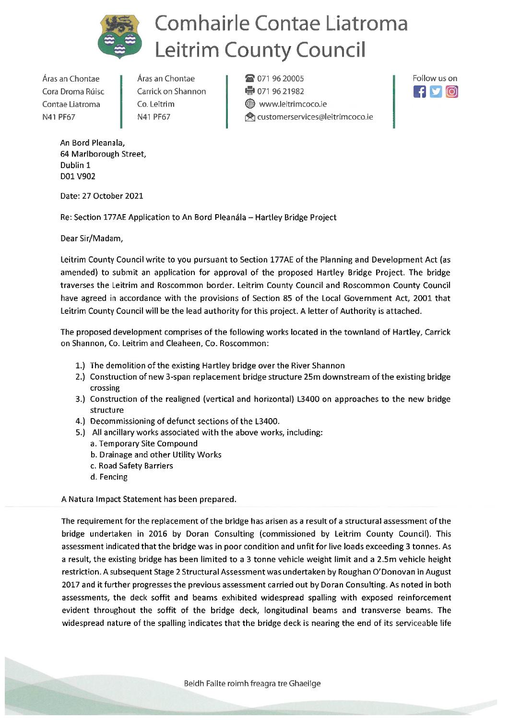

## **Comhairle Contae Liatroma Leitrim County Council**

Áras an Chontae Cora Droma Rúisc Contae Liatroma N41 PF67

Áras an Chontae Carrick on Shannon Co. Leitrim N41 PF67

**a** 071 96 20005 ● 071 96 21982 Www.leitrimcoco.ie **Q** customerservices@leitrimcoco.ie



An Bord Pleanala, 64 Marlborough Street, Dublin 1 D01 V902

Date: 27 October 2021

Re: Section 177AE Application to An Bord Pleanála - Hartley Bridge Project

Dear Sir/Madam,

Leitrim County Council write to you pursuant to Section 177AE of the Planning and Development Act (as amended) to submit an application for approval of the proposed Hartley Bridge Project. The bridge traverses the Leitrim and Roscommon border. Leitrim County Council and Roscommon County Council have agreed in accordance with the provisions of Section 85 of the Local Government Act, 2001 that Leitrim County Council will be the lead authority for this project. A letter of Authority is attached.

The proposed development comprises of the following works located in the townland of Hartley, Carrick on Shannon, Co. Leitrim and Cleaheen, Co. Roscommon:

- 1.) The demolition of the existing Hartley bridge over the River Shannon
- 2.) Construction of new 3-span replacement bridge structure 25m downstream of the existing bridge crossing
- 3.) Construction of the realigned (vertical and horizontal) L3400 on approaches to the new bridge structure
- 4.) Decommissioning of defunct sections of the L3400.
- 5.) All ancillary works associated with the above works, including:
	- a. Temporary Site Compound
	- b. Drainage and other Utility Works
	- c. Road Safety Barriers
	- d. Fencing

A Natura Impact Statement has been prepared.

The requirement for the replacement of the bridge has arisen as a result of a structural assessment of the bridge undertaken in 2016 by Doran Consulting (commissioned by Leitrim County Council). This assessment indicated that the bridge was in poor condition and unfit for live loads exceeding 3 tonnes. As a result, the existing bridge has been limited to a 3 tonne vehicle weight limit and a 2.5m vehicle height restriction. A subsequent Stage 2 Structural Assessment was undertaken by Roughan O'Donovan in August 2017 and it further progresses the previous assessment carried out by Doran Consulting. As noted in both assessments, the deck soffit and beams exhibited widespread spalling with exposed reinforcement evident throughout the soffit of the bridge deck, longitudinal beams and transverse beams. The widespread nature of the spalling indicates that the bridge deck is nearing the end of its serviceable life